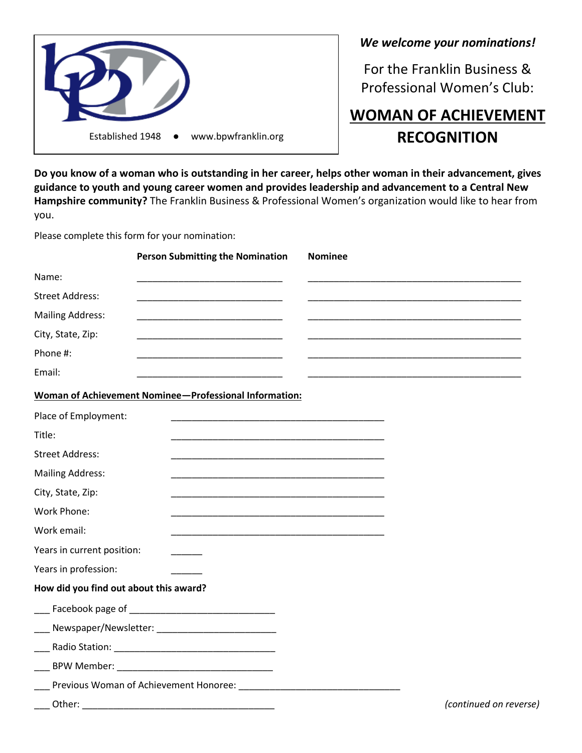

*We welcome your nominations!*

For the Franklin Business & Professional Women's Club:

## **WOMAN OF ACHIEVEMENT RECOGNITION**

**Do you know of a woman who is outstanding in her career, helps other woman in their advancement, gives guidance to youth and young career women and provides leadership and advancement to a Central New Hampshire community?** The Franklin Business & Professional Women's organization would like to hear from you.

Please complete this form for your nomination:

|                                        | <b>Person Submitting the Nomination</b>                  | <b>Nominee</b> |                                                         |
|----------------------------------------|----------------------------------------------------------|----------------|---------------------------------------------------------|
| Name:                                  |                                                          |                |                                                         |
| <b>Street Address:</b>                 |                                                          |                |                                                         |
| <b>Mailing Address:</b>                | <u> 1989 - Johann John Stone, mars eta biztanleria (</u> |                | <u> 1989 - Johann John Stone, mars et al. (b. 1989)</u> |
| City, State, Zip:                      |                                                          |                |                                                         |
| Phone #:                               |                                                          |                |                                                         |
| Email:                                 |                                                          |                |                                                         |
|                                        | Woman of Achievement Nominee-Professional Information:   |                |                                                         |
| Place of Employment:                   |                                                          |                |                                                         |
| Title:                                 |                                                          |                |                                                         |
| <b>Street Address:</b>                 |                                                          |                |                                                         |
| <b>Mailing Address:</b>                |                                                          |                |                                                         |
| City, State, Zip:                      |                                                          |                |                                                         |
| Work Phone:                            |                                                          |                |                                                         |
| Work email:                            |                                                          |                |                                                         |
| Years in current position:             |                                                          |                |                                                         |
| Years in profession:                   |                                                          |                |                                                         |
| How did you find out about this award? |                                                          |                |                                                         |
|                                        |                                                          |                |                                                         |
|                                        | ___ Newspaper/Newsletter: ___________________________    |                |                                                         |
|                                        |                                                          |                |                                                         |
|                                        |                                                          |                |                                                         |
|                                        | Previous Woman of Achievement Honoree: ______________    |                |                                                         |
| ∩thar∙                                 |                                                          |                | Continued on reve                                       |